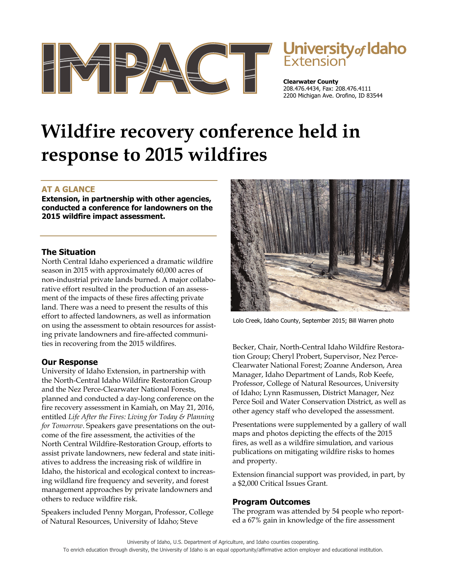



**Clearwater County**  208.476.4434, Fax: 208.476.4111 2200 Michigan Ave. Orofino, ID 83544

# **Wildfire recovery conference held in response to 2015 wildfires**

## **AT A GLANCE**

**Extension, in partnership with other agencies, conducted a conference for landowners on the 2015 wildfire impact assessment.** 

### **The Situation**

North Central Idaho experienced a dramatic wildfire season in 2015 with approximately 60,000 acres of non-industrial private lands burned. A major collaborative effort resulted in the production of an assessment of the impacts of these fires affecting private land. There was a need to present the results of this effort to affected landowners, as well as information on using the assessment to obtain resources for assisting private landowners and fire-affected communities in recovering from the 2015 wildfires.

#### **Our Response**

University of Idaho Extension, in partnership with the North-Central Idaho Wildfire Restoration Group and the Nez Perce-Clearwater National Forests, planned and conducted a day-long conference on the fire recovery assessment in Kamiah, on May 21, 2016, entitled *Life After the Fires: Living for Today & Planning for Tomorrow*. Speakers gave presentations on the outcome of the fire assessment, the activities of the North Central Wildfire-Restoration Group, efforts to assist private landowners, new federal and state initiatives to address the increasing risk of wildfire in Idaho, the historical and ecological context to increasing wildland fire frequency and severity, and forest management approaches by private landowners and others to reduce wildfire risk.

Speakers included Penny Morgan, Professor, College of Natural Resources, University of Idaho; Steve



Lolo Creek, Idaho County, September 2015; Bill Warren photo

Becker, Chair, North-Central Idaho Wildfire Restoration Group; Cheryl Probert, Supervisor, Nez Perce-Clearwater National Forest; Zoanne Anderson, Area Manager, Idaho Department of Lands, Rob Keefe, Professor, College of Natural Resources, University of Idaho; Lynn Rasmussen, District Manager, Nez Perce Soil and Water Conservation District, as well as other agency staff who developed the assessment.

Presentations were supplemented by a gallery of wall maps and photos depicting the effects of the 2015 fires, as well as a wildfire simulation, and various publications on mitigating wildfire risks to homes and property.

Extension financial support was provided, in part, by a \$2,000 Critical Issues Grant.

## **Program Outcomes**

The program was attended by 54 people who reported a 67% gain in knowledge of the fire assessment